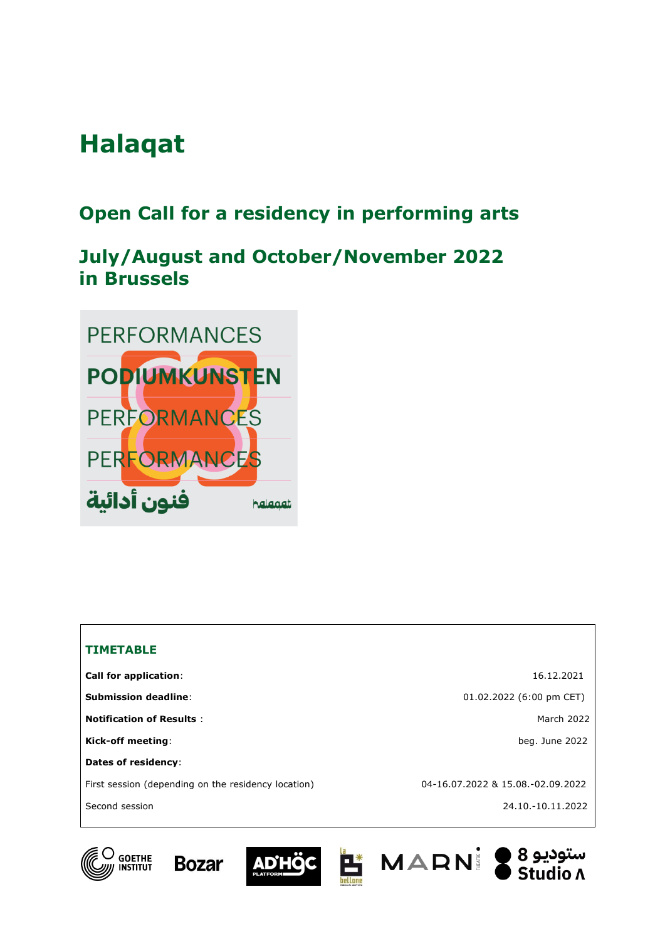# **Halaqat**

# **Open Call for a residency in performing arts**

# **July/August and October/November 2022 in Brussels**



| <b>TIMETABLE</b>                                    |                                   |
|-----------------------------------------------------|-----------------------------------|
| <b>Call for application:</b>                        | 16.12.2021                        |
| <b>Submission deadline:</b>                         | 01.02.2022 (6:00 pm CET)          |
| <b>Notification of Results:</b>                     | March 2022                        |
| Kick-off meeting:                                   | beg. June 2022                    |
| Dates of residency:                                 |                                   |
| First session (depending on the residency location) | 04-16.07.2022 & 15.08.-02.09.2022 |
| Second session                                      | 24.10.-10.11.2022                 |
|                                                     |                                   |









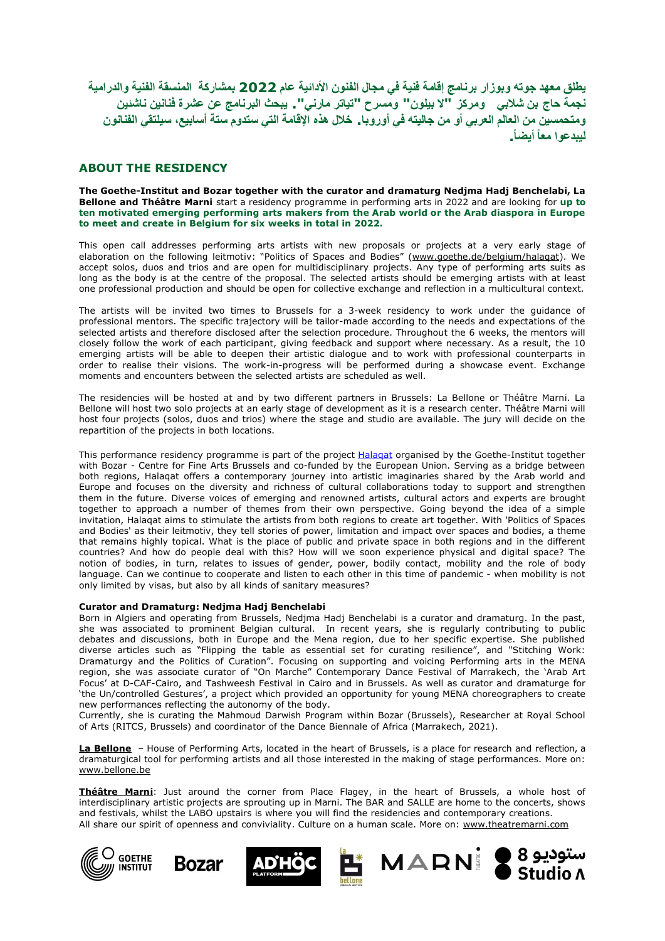**يطلق معهد جوته وبوزار برنامج إقامة فنية في مجال الفنون األدائية عام 2022 بمشاركة المنسقة الفنية والدرامية** نجمة حاج بن شلابي ومركز "لا بيلون" ومسرح "تياتر مارني". يبحث البرنامج عن عشرة فنانين ناشئين ومتحمسين من العالم العربي أو من جاليته في أوروبا.. خلال هذه الإقامة التي ستدوم ستة أسابيع، سيلتقي الفنانون **ليبدعوا معا أيضا .**

### **ABOUT THE RESIDENCY**

**The Goethe-Institut and Bozar together with the curator and dramaturg Nedjma Hadj Benchelabi, La Bellone and Théâtre Marni** start a residency programme in performing arts in 2022 and are looking for **up to ten motivated emerging performing arts makers from the Arab world or the Arab diaspora in Europe to meet and create in Belgium for six weeks in total in 2022.**

This open call addresses performing arts artists with new proposals or projects at a very early stage of elaboration on the following leitmotiv: "Politics of Spaces and Bodies" (www.goethe.de/belgium/halagat). We accept solos, duos and trios and are open for multidisciplinary projects. Any type of performing arts suits as long as the body is at the centre of the proposal. The selected artists should be emerging artists with at least one professional production and should be open for collective exchange and reflection in a multicultural context.

The artists will be invited two times to Brussels for a 3-week residency to work under the guidance of professional mentors. The specific trajectory will be tailor-made according to the needs and expectations of the selected artists and therefore disclosed after the selection procedure. Throughout the 6 weeks, the mentors will closely follow the work of each participant, giving feedback and support where necessary. As a result, the 10 emerging artists will be able to deepen their artistic dialogue and to work with professional counterparts in order to realise their visions. The work-in-progress will be performed during a showcase event. Exchange moments and encounters between the selected artists are scheduled as well.

The residencies will be hosted at and by two different partners in Brussels: La Bellone or Théâtre Marni. La Bellone will host two solo projects at an early stage of development as it is a research center. Théâtre Marni will host four projects (solos, duos and trios) where the stage and studio are available. The jury will decide on the repartition of the projects in both locations.

This performance residency programme is part of the project [Halaqat](https://www.goethe.de/ins/be/en/kul/eur/ela.html) organised by the Goethe-Institut together with Bozar - Centre for Fine Arts Brussels and co-funded by the European Union. Serving as a bridge between both regions, Halaqat offers a contemporary journey into artistic imaginaries shared by the Arab world and Europe and focuses on the diversity and richness of cultural collaborations today to support and strengthen them in the future. Diverse voices of emerging and renowned artists, cultural actors and experts are brought together to approach a number of themes from their own perspective. Going beyond the idea of a simple invitation, Halaqat aims to stimulate the artists from both regions to create art together. With 'Politics of Spaces and Bodies' as their leitmotiv, they tell stories of power, limitation and impact over spaces and bodies, a theme that remains highly topical. What is the place of public and private space in both regions and in the different countries? And how do people deal with this? How will we soon experience physical and digital space? The notion of bodies, in turn, relates to issues of gender, power, bodily contact, mobility and the role of body language. Can we continue to cooperate and listen to each other in this time of pandemic - when mobility is not only limited by visas, but also by all kinds of sanitary measures?

#### **Curator and Dramaturg: Nedjma Hadj Benchelabi**

Born in Algiers and operating from Brussels, Nedjma Hadj Benchelabi is a curator and dramaturg. In the past, she was associated to prominent Belgian cultural. In recent years, she is regularly contributing to public debates and discussions, both in Europe and the Mena region, due to her specific expertise. She published diverse articles such as "Flipping the table as essential set for curating resilience", and "Stitching Work: Dramaturgy and the Politics of Curation". Focusing on supporting and voicing Performing arts in the MENA region, she was associate curator of "On Marche" Contemporary Dance Festival of Marrakech, the 'Arab Art Focus' at D-CAF-Cairo, and Tashweesh Festival in Cairo and in Brussels. As well as curator and dramaturge for 'the Un/controlled Gestures', a project which provided an opportunity for young MENA choreographers to create new performances reflecting the autonomy of the body.

Currently, she is curating the Mahmoud Darwish Program within Bozar (Brussels), Researcher at Royal School of Arts (RITCS, Brussels) and coordinator of the Dance Biennale of Africa (Marrakech, 2021).

**La [Bellone](https://www.bellone.be/f/index.asp)** – House of Performing Arts, located in the heart of Brussels, is a place for research and reflection, a dramaturgical tool for performing artists and all those interested in the making of stage performances. More on: [www.bellone.be](http://www.bellone.be/)

**[Théâtre](https://www.theatremarni.com/) Marni**: Just around the corner from Place Flagey, in the heart of Brussels, a whole host of interdisciplinary artistic projects are sprouting up in Marni. The BAR and SALLE are home to the concerts, shows and festivals, whilst the LABO upstairs is where you will find the residencies and contemporary creations. All share our spirit of openness and conviviality. Culture on a human scale. More on: [www.theatremarni.com](http://www.theatremarni.com/)